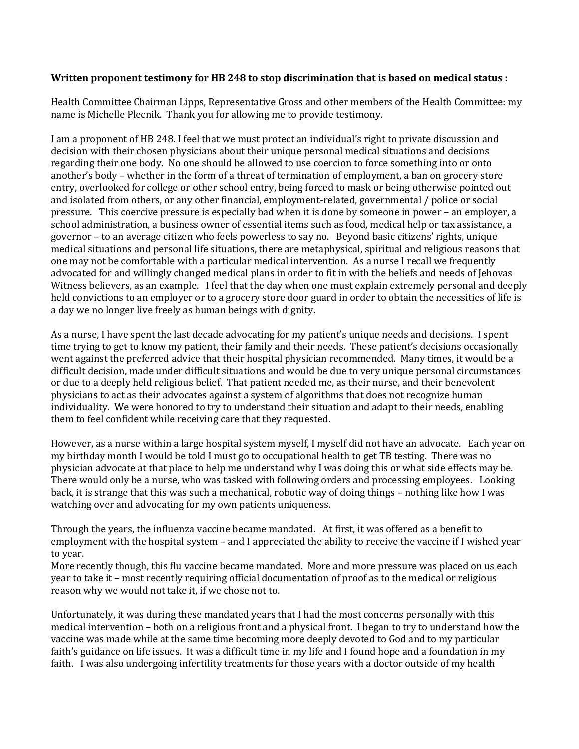## **Written proponent testimony for HB 248 to stop discrimination that is based on medical status :**

Health Committee Chairman Lipps, Representative Gross and other members of the Health Committee: my name is Michelle Plecnik. Thank you for allowing me to provide testimony.

I am a proponent of HB 248. I feel that we must protect an individual's right to private discussion and decision with their chosen physicians about their unique personal medical situations and decisions regarding their one body. No one should be allowed to use coercion to force something into or onto another's body – whether in the form of a threat of termination of employment, a ban on grocery store entry, overlooked for college or other school entry, being forced to mask or being otherwise pointed out and isolated from others, or any other financial, employment-related, governmental / police or social pressure. This coercive pressure is especially bad when it is done by someone in power – an employer, a school administration, a business owner of essential items such as food, medical help or tax assistance, a governor – to an average citizen who feels powerless to say no. Beyond basic citizens' rights, unique medical situations and personal life situations, there are metaphysical, spiritual and religious reasons that one may not be comfortable with a particular medical intervention. As a nurse I recall we frequently advocated for and willingly changed medical plans in order to fit in with the beliefs and needs of Jehovas Witness believers, as an example. I feel that the day when one must explain extremely personal and deeply held convictions to an employer or to a grocery store door guard in order to obtain the necessities of life is a day we no longer live freely as human beings with dignity.

As a nurse, I have spent the last decade advocating for my patient's unique needs and decisions. I spent time trying to get to know my patient, their family and their needs. These patient's decisions occasionally went against the preferred advice that their hospital physician recommended. Many times, it would be a difficult decision, made under difficult situations and would be due to very unique personal circumstances or due to a deeply held religious belief. That patient needed me, as their nurse, and their benevolent physicians to act as their advocates against a system of algorithms that does not recognize human individuality. We were honored to try to understand their situation and adapt to their needs, enabling them to feel confident while receiving care that they requested.

However, as a nurse within a large hospital system myself, I myself did not have an advocate. Each year on my birthday month I would be told I must go to occupational health to get TB testing. There was no physician advocate at that place to help me understand why I was doing this or what side effects may be. There would only be a nurse, who was tasked with following orders and processing employees. Looking back, it is strange that this was such a mechanical, robotic way of doing things – nothing like how I was watching over and advocating for my own patients uniqueness.

Through the years, the influenza vaccine became mandated. At first, it was offered as a benefit to employment with the hospital system – and I appreciated the ability to receive the vaccine if I wished year to year.

More recently though, this flu vaccine became mandated. More and more pressure was placed on us each year to take it – most recently requiring official documentation of proof as to the medical or religious reason why we would not take it, if we chose not to.

Unfortunately, it was during these mandated years that I had the most concerns personally with this medical intervention – both on a religious front and a physical front. I began to try to understand how the vaccine was made while at the same time becoming more deeply devoted to God and to my particular faith's guidance on life issues. It was a difficult time in my life and I found hope and a foundation in my faith. I was also undergoing infertility treatments for those years with a doctor outside of my health